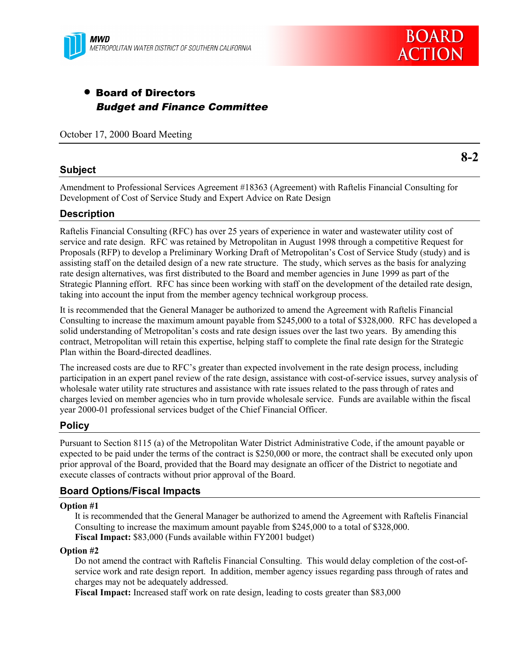

# • Board of Directors Budget and Finance Committee

October 17, 2000 Board Meeting

### **Subject**

**8-2**

Amendment to Professional Services Agreement #18363 (Agreement) with Raftelis Financial Consulting for Development of Cost of Service Study and Expert Advice on Rate Design

### **Description**

Raftelis Financial Consulting (RFC) has over 25 years of experience in water and wastewater utility cost of service and rate design. RFC was retained by Metropolitan in August 1998 through a competitive Request for Proposals (RFP) to develop a Preliminary Working Draft of Metropolitan's Cost of Service Study (study) and is assisting staff on the detailed design of a new rate structure. The study, which serves as the basis for analyzing rate design alternatives, was first distributed to the Board and member agencies in June 1999 as part of the Strategic Planning effort. RFC has since been working with staff on the development of the detailed rate design, taking into account the input from the member agency technical workgroup process.

It is recommended that the General Manager be authorized to amend the Agreement with Raftelis Financial Consulting to increase the maximum amount payable from \$245,000 to a total of \$328,000. RFC has developed a solid understanding of Metropolitan's costs and rate design issues over the last two years. By amending this contract, Metropolitan will retain this expertise, helping staff to complete the final rate design for the Strategic Plan within the Board-directed deadlines.

The increased costs are due to RFC's greater than expected involvement in the rate design process, including participation in an expert panel review of the rate design, assistance with cost-of-service issues, survey analysis of wholesale water utility rate structures and assistance with rate issues related to the pass through of rates and charges levied on member agencies who in turn provide wholesale service. Funds are available within the fiscal year 2000-01 professional services budget of the Chief Financial Officer.

## **Policy**

Pursuant to Section 8115 (a) of the Metropolitan Water District Administrative Code, if the amount payable or expected to be paid under the terms of the contract is \$250,000 or more, the contract shall be executed only upon prior approval of the Board, provided that the Board may designate an officer of the District to negotiate and execute classes of contracts without prior approval of the Board.

## **Board Options/Fiscal Impacts**

#### **Option #1**

It is recommended that the General Manager be authorized to amend the Agreement with Raftelis Financial Consulting to increase the maximum amount payable from \$245,000 to a total of \$328,000. **Fiscal Impact:** \$83,000 (Funds available within FY2001 budget)

#### **Option #2**

Do not amend the contract with Raftelis Financial Consulting. This would delay completion of the cost-ofservice work and rate design report. In addition, member agency issues regarding pass through of rates and charges may not be adequately addressed.

**Fiscal Impact:** Increased staff work on rate design, leading to costs greater than \$83,000